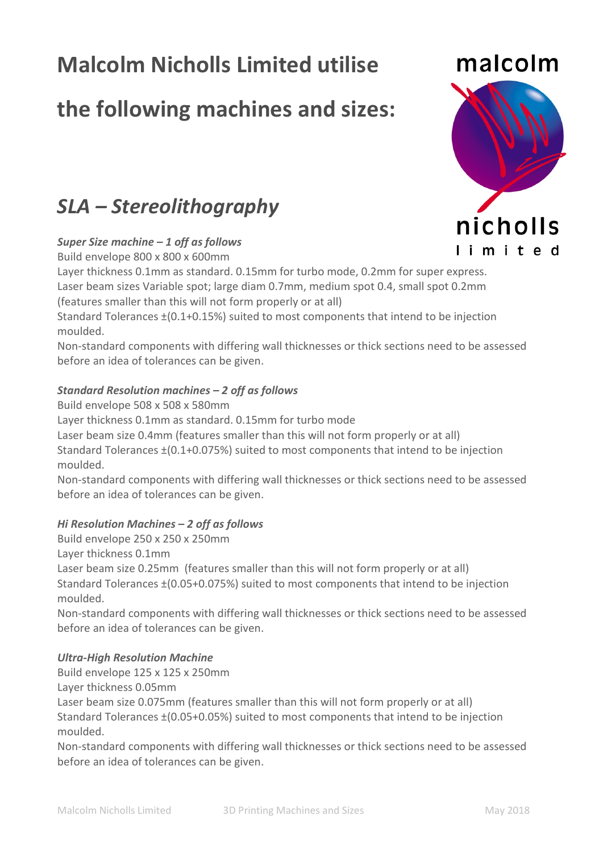# **Malcolm Nicholls Limited utilise**

## **the following machines and sizes:**

### *SLA – Stereolithography*

### *Super Size machine – 1 off as follows*

Build envelope 800 x 800 x 600mm

Layer thickness 0.1mm as standard. 0.15mm for turbo mode, 0.2mm for super express. Laser beam sizes Variable spot; large diam 0.7mm, medium spot 0.4, small spot 0.2mm (features smaller than this will not form properly or at all)

Standard Tolerances ±(0.1+0.15%) suited to most components that intend to be injection moulded.

Non-standard components with differing wall thicknesses or thick sections need to be assessed before an idea of tolerances can be given.

### *Standard Resolution machines – 2 off as follows*

Build envelope 508 x 508 x 580mm Layer thickness 0.1mm as standard. 0.15mm for turbo mode Laser beam size 0.4mm (features smaller than this will not form properly or at all) Standard Tolerances ±(0.1+0.075%) suited to most components that intend to be injection moulded.

Non-standard components with differing wall thicknesses or thick sections need to be assessed before an idea of tolerances can be given.

### *Hi Resolution Machines – 2 off as follows*

Build envelope 250 x 250 x 250mm

Layer thickness 0.1mm

Laser beam size 0.25mm (features smaller than this will not form properly or at all) Standard Tolerances ±(0.05+0.075%) suited to most components that intend to be injection moulded.

Non-standard components with differing wall thicknesses or thick sections need to be assessed before an idea of tolerances can be given.

### *Ultra-High Resolution Machine*

Build envelope 125 x 125 x 250mm

Layer thickness 0.05mm

Laser beam size 0.075mm (features smaller than this will not form properly or at all) Standard Tolerances ±(0.05+0.05%) suited to most components that intend to be injection moulded.

Non-standard components with differing wall thicknesses or thick sections need to be assessed before an idea of tolerances can be given.



malcolm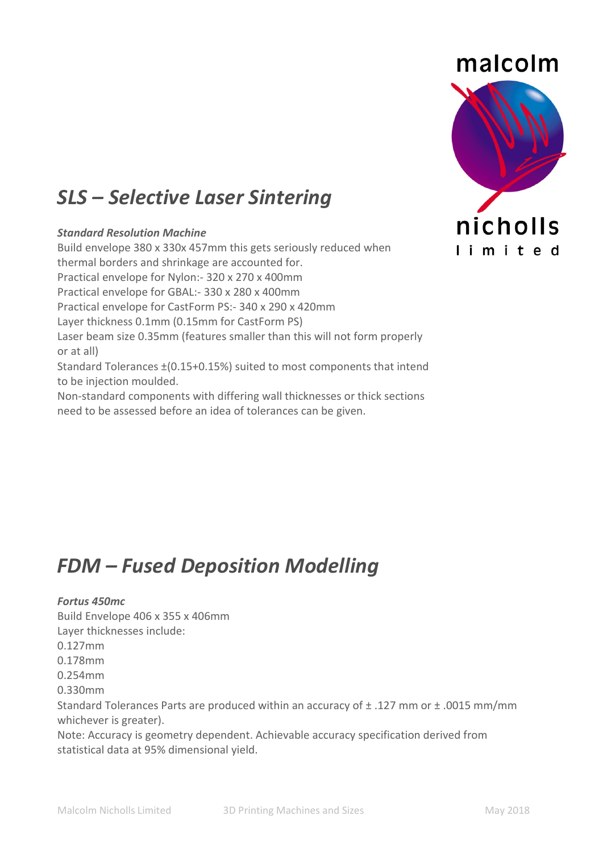# malcolm nicholls limited

## *SLS – Selective Laser Sintering*

### *Standard Resolution Machine*

Build envelope 380 x 330x 457mm this gets seriously reduced when thermal borders and shrinkage are accounted for. Practical envelope for Nylon:- 320 x 270 x 400mm Practical envelope for GBAL:- 330 x 280 x 400mm Practical envelope for CastForm PS:- 340 x 290 x 420mm Layer thickness 0.1mm (0.15mm for CastForm PS) Laser beam size 0.35mm (features smaller than this will not form properly or at all) Standard Tolerances ±(0.15+0.15%) suited to most components that intend to be injection moulded. Non-standard components with differing wall thicknesses or thick sections need to be assessed before an idea of tolerances can be given.

## *FDM – Fused Deposition Modelling*

### *Fortus 450mc*

Build Envelope 406 x 355 x 406mm Layer thicknesses include: 0.127mm 0.178mm 0.254mm 0.330mm Standard Tolerances Parts are produced within an accuracy of ± .127 mm or ± .0015 mm/mm whichever is greater). Note: Accuracy is geometry dependent. Achievable accuracy specification derived from statistical data at 95% dimensional yield.